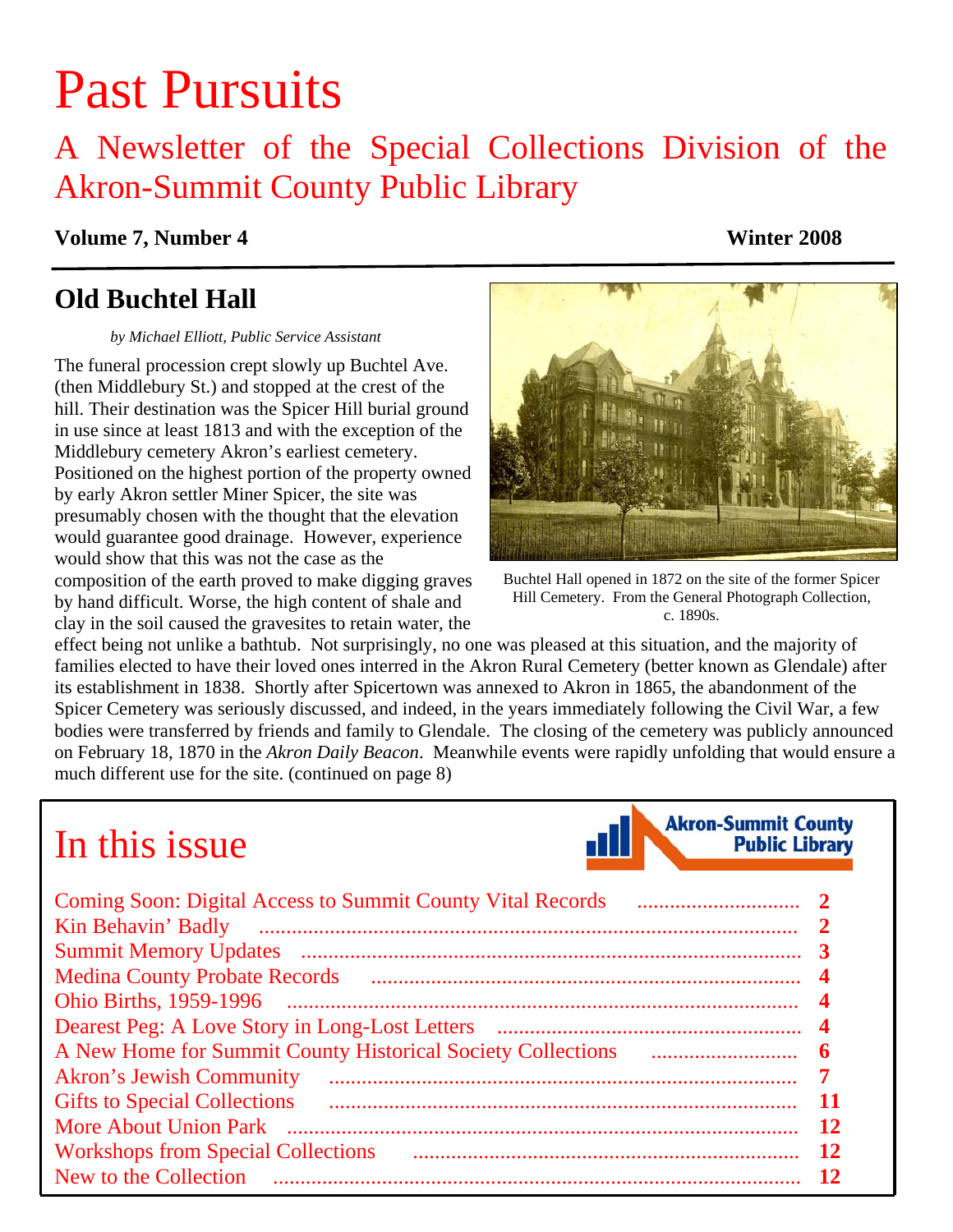# Past Pursuits

# A Newsletter of the Special Collections Division of the Akron-Summit County Public Library

**Volume 7, Number 4 Winter 2008** 

# **Old Buchtel Hall**

*by Michael Elliott, Public Service Assistant* 

The funeral procession crept slowly up Buchtel Ave. (then Middlebury St.) and stopped at the crest of the hill. Their destination was the Spicer Hill burial ground in use since at least 1813 and with the exception of the Middlebury cemetery Akron's earliest cemetery. Positioned on the highest portion of the property owned by early Akron settler Miner Spicer, the site was presumably chosen with the thought that the elevation would guarantee good drainage. However, experience would show that this was not the case as the composition of the earth proved to make digging graves

by hand difficult. Worse, the high content of shale and clay in the soil caused the gravesites to retain water, the



Buchtel Hall opened in 1872 on the site of the former Spicer Hill Cemetery. From the General Photograph Collection, c. 1890s.

effect being not unlike a bathtub. Not surprisingly, no one was pleased at this situation, and the majority of families elected to have their loved ones interred in the Akron Rural Cemetery (better known as Glendale) after its establishment in 1838. Shortly after Spicertown was annexed to Akron in 1865, the abandonment of the Spicer Cemetery was seriously discussed, and indeed, in the years immediately following the Civil War, a few bodies were transferred by friends and family to Glendale. The closing of the cemetery was publicly announced on February 18, 1870 in the *Akron Daily Beacon*. Meanwhile events were rapidly unfolding that would ensure a much different use for the site. [\(continued on page 8\)](#page-7-0)

# In this issue



| <b>Coming Soon: Digital Access to Summit County Vital Records</b> |                         |
|-------------------------------------------------------------------|-------------------------|
| Kin Behavin' Badly                                                | $\mathbf{2}$            |
|                                                                   | 3                       |
|                                                                   | $\overline{\mathbf{4}}$ |
|                                                                   | $\overline{\mathbf{4}}$ |
|                                                                   | $\overline{\mathbf{4}}$ |
|                                                                   | 6                       |
| <b>Akron's Jewish Community</b>                                   | 7                       |
| <b>Gifts to Special Collections</b>                               | 11                      |
| <b>More About Union Park</b>                                      | 12                      |
| <b>Workshops from Special Collections</b>                         | 12                      |
| New to the Collection                                             | 12                      |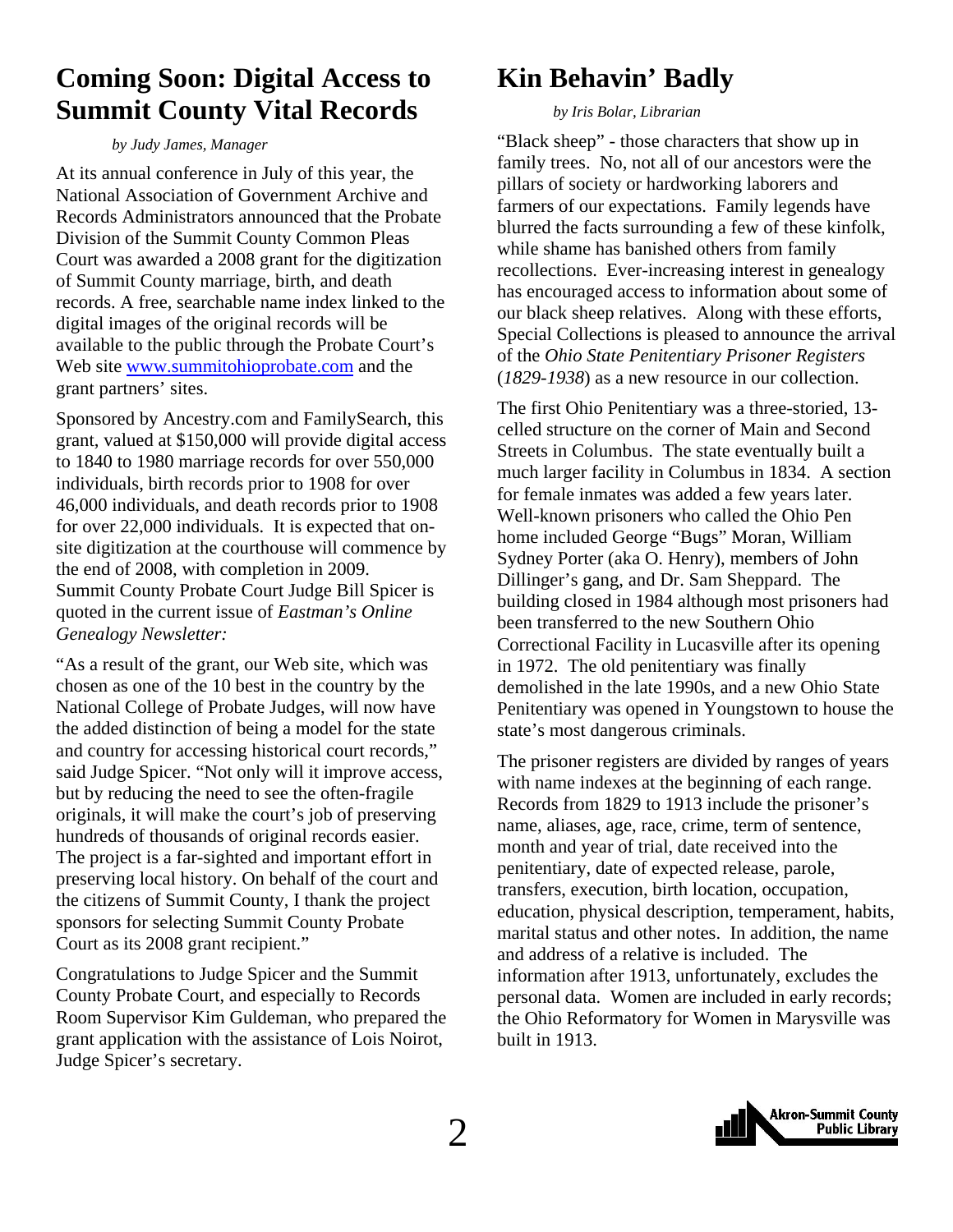# <span id="page-1-0"></span>**Coming Soon: Digital Access to Summit County Vital Records**

 *by Judy James, Manager* 

At its annual conference in July of this year, the National Association of Government Archive and Records Administrators announced that the Probate Division of the Summit County Common Pleas Court was awarded a 2008 grant for the digitization of Summit County marriage, birth, and death records. A free, searchable name index linked to the digital images of the original records will be available to the public through the Probate Court's Web site [www.summitohioprobate.com](http://www.summitohioprobate.com/) and the grant partners' sites.

Sponsored by Ancestry.com and FamilySearch, this grant, valued at \$150,000 will provide digital access to 1840 to 1980 marriage records for over 550,000 individuals, birth records prior to 1908 for over 46,000 individuals, and death records prior to 1908 for over 22,000 individuals. It is expected that onsite digitization at the courthouse will commence by the end of 2008, with completion in 2009. Summit County Probate Court Judge Bill Spicer is quoted in the current issue of *Eastman's Online Genealogy Newsletter:*

"As a result of the grant, our Web site, which was chosen as one of the 10 best in the country by the National College of Probate Judges, will now have the added distinction of being a model for the state and country for accessing historical court records," said Judge Spicer. "Not only will it improve access, but by reducing the need to see the often-fragile originals, it will make the court's job of preserving hundreds of thousands of original records easier. The project is a far-sighted and important effort in preserving local history. On behalf of the court and the citizens of Summit County, I thank the project sponsors for selecting Summit County Probate Court as its 2008 grant recipient."

Congratulations to Judge Spicer and the Summit County Probate Court, and especially to Records Room Supervisor Kim Guldeman, who prepared the grant application with the assistance of Lois Noirot, Judge Spicer's secretary.

# **Kin Behavin' Badly**

#### *by Iris Bolar, Librarian*

"Black sheep" - those characters that show up in family trees. No, not all of our ancestors were the pillars of society or hardworking laborers and farmers of our expectations. Family legends have blurred the facts surrounding a few of these kinfolk, while shame has banished others from family recollections. Ever-increasing interest in genealogy has encouraged access to information about some of our black sheep relatives. Along with these efforts, Special Collections is pleased to announce the arrival of the *Ohio State Penitentiary Prisoner Registers* (*1829-1938*) as a new resource in our collection.

The first Ohio Penitentiary was a three-storied, 13 celled structure on the corner of Main and Second Streets in Columbus. The state eventually built a much larger facility in Columbus in 1834. A section for female inmates was added a few years later. Well-known prisoners who called the Ohio Pen home included George "Bugs" Moran, William Sydney Porter (aka O. Henry), members of John Dillinger's gang, and Dr. Sam Sheppard. The building closed in 1984 although most prisoners had been transferred to the new Southern Ohio Correctional Facility in Lucasville after its opening in 1972. The old penitentiary was finally demolished in the late 1990s, and a new Ohio State Penitentiary was opened in Youngstown to house the state's most dangerous criminals.

The prisoner registers are divided by ranges of years with name indexes at the beginning of each range. Records from 1829 to 1913 include the prisoner's name, aliases, age, race, crime, term of sentence, month and year of trial, date received into the penitentiary, date of expected release, parole, transfers, execution, birth location, occupation, education, physical description, temperament, habits, marital status and other notes. In addition, the name and address of a relative is included. The information after 1913, unfortunately, excludes the personal data. Women are included in early records; the Ohio Reformatory for Women in Marysville was built in 1913.

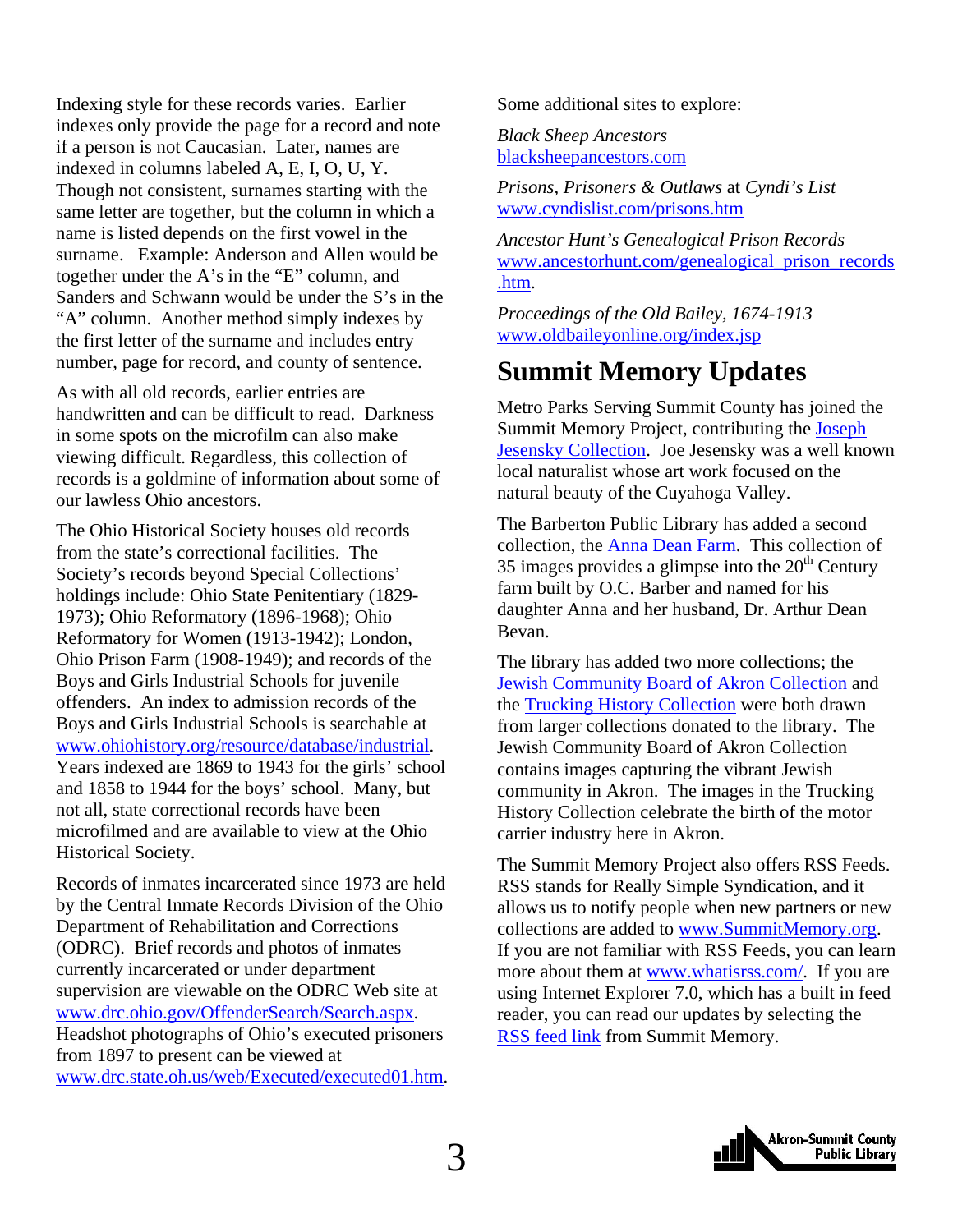<span id="page-2-0"></span>Indexing style for these records varies. Earlier indexes only provide the page for a record and note if a person is not Caucasian. Later, names are indexed in columns labeled A, E, I, O, U, Y. Though not consistent, surnames starting with the same letter are together, but the column in which a name is listed depends on the first vowel in the surname. Example: Anderson and Allen would be together under the A's in the "E" column, and Sanders and Schwann would be under the S's in the "A" column. Another method simply indexes by the first letter of the surname and includes entry number, page for record, and county of sentence.

As with all old records, earlier entries are handwritten and can be difficult to read. Darkness in some spots on the microfilm can also make viewing difficult. Regardless, this collection of records is a goldmine of information about some of our lawless Ohio ancestors.

The Ohio Historical Society houses old records from the state's correctional facilities. The Society's records beyond Special Collections' holdings include: Ohio State Penitentiary (1829- 1973); Ohio Reformatory (1896-1968); Ohio Reformatory for Women (1913-1942); London, Ohio Prison Farm (1908-1949); and records of the Boys and Girls Industrial Schools for juvenile offenders. An index to admission records of the Boys and Girls Industrial Schools is searchable at [www.ohiohistory.org/resource/database/industrial.](http://www.ohiohistory.org/resource/database/industrial) Years indexed are 1869 to 1943 for the girls' school and 1858 to 1944 for the boys' school. Many, but not all, state correctional records have been microfilmed and are available to view at the Ohio Historical Society.

Records of inmates incarcerated since 1973 are held by the Central Inmate Records Division of the Ohio Department of Rehabilitation and Corrections (ODRC). Brief records and photos of inmates currently incarcerated or under department supervision are viewable on the ODRC Web site at [www.drc.ohio.gov/OffenderSearch/Search.aspx.](http://www.drc.ohio.gov/OffenderSearch/Search.aspx) Headshot photographs of Ohio's executed prisoners from 1897 to present can be viewed at [www.drc.state.oh.us/web/Executed/executed01.htm.](http://www.drc.state.oh.us/web/Executed/executed01.htm) Some additional sites to explore:

*Black Sheep Ancestors* [blacksheepancestors.com](http://blacksheepancestors.com/)

*Prisons, Prisoners & Outlaws* at *Cyndi's List* [www.cyndislist.com/prisons.htm](http://www.cyndislist.com/prisons.htm)

*Ancestor Hunt's Genealogical Prison Records*  [www.ancestorhunt.com/genealogical\\_prison\\_records](http://www.ancestorhunt.com/genealogical_prison_records.htm) [.htm](http://www.ancestorhunt.com/genealogical_prison_records.htm).

*Proceedings of the Old Bailey, 1674-1913*  [www.oldbaileyonline.org/index.jsp](http://www.oldbaileyonline.org/index.jsp)

# **Summit Memory Updates**

Metro Parks Serving Summit County has joined the Summit Memory Project, contributing the [Joseph](http://www.summitmemory.org/cdm4/browse.php)  [Jesensky Collection](http://www.summitmemory.org/cdm4/browse.php). Joe Jesensky was a well known local naturalist whose art work focused on the natural beauty of the Cuyahoga Valley.

The Barberton Public Library has added a second collection, the [Anna Dean Farm](http://www.summitmemory.org/cdm4/browse.php). This collection of 35 images provides a glimpse into the  $20<sup>th</sup>$  Century farm built by O.C. Barber and named for his daughter Anna and her husband, Dr. Arthur Dean Bevan.

The library has added two more collections; the [Jewish Community Board of Akron Collection](http://www.summitmemory.org/cdm4/browse.php) and the [Trucking History Collection](http://www.summitmemory.org/cdm4/browse.php) were both drawn from larger collections donated to the library. The Jewish Community Board of Akron Collection contains images capturing the vibrant Jewish community in Akron. The images in the Trucking History Collection celebrate the birth of the motor carrier industry here in Akron.

The Summit Memory Project also offers RSS Feeds. RSS stands for Really Simple Syndication, and it allows us to notify people when new partners or new collections are added to [www.SummitMemory.org](http://www.summitmemory.org/). If you are not familiar with RSS Feeds, you can learn more about them at [www.whatisrss.com/](http://www.whatisrss.com/). If you are using Internet Explorer 7.0, which has a built in feed reader, you can read our updates by selecting the [RSS feed link](http://summitmemory.wordpress.com/feed/) from Summit Memory.

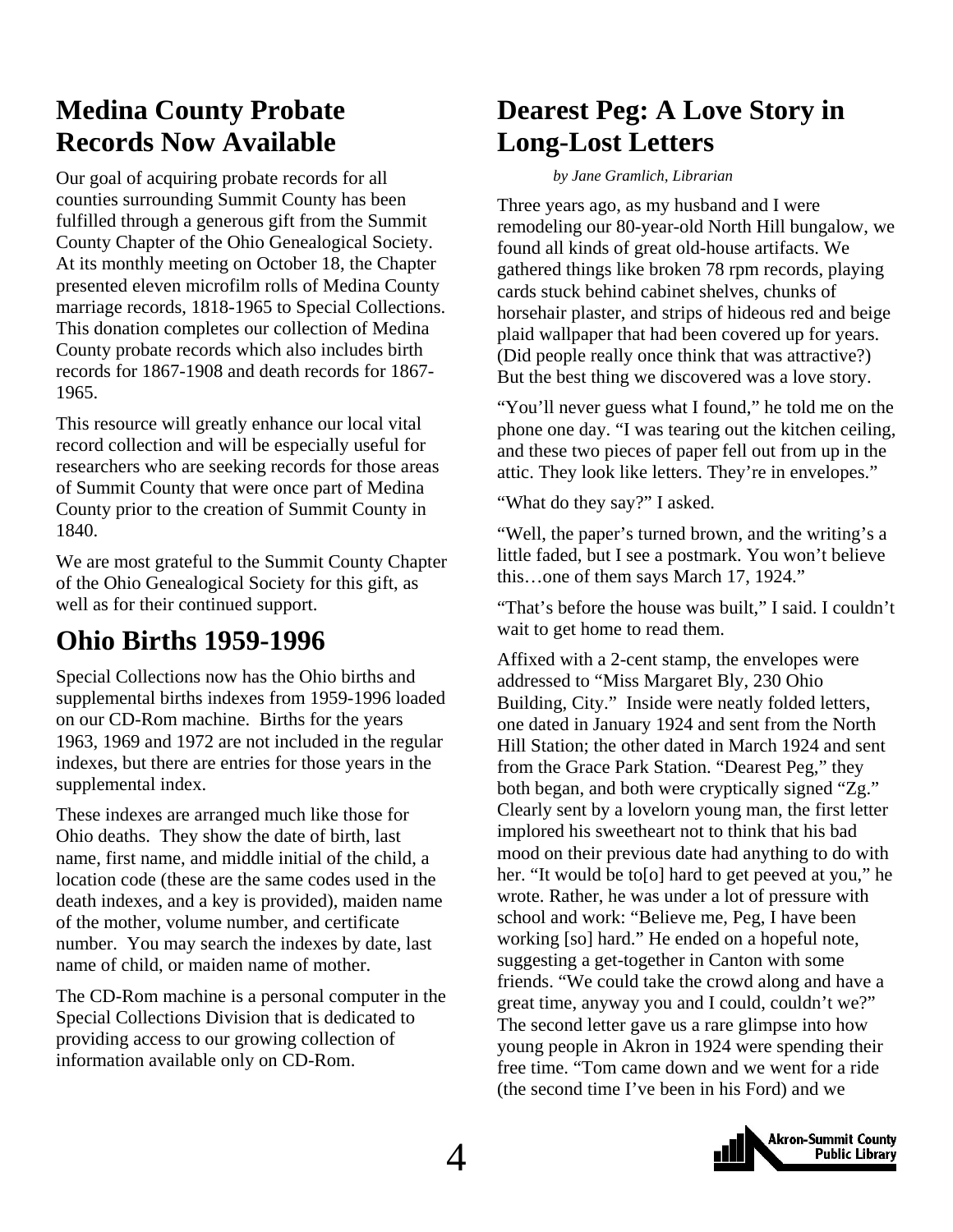# <span id="page-3-0"></span>**Medina County Probate Records Now Available**

Our goal of acquiring probate records for all counties surrounding Summit County has been fulfilled through a generous gift from the Summit County Chapter of the Ohio Genealogical Society. At its monthly meeting on October 18, the Chapter presented eleven microfilm rolls of Medina County marriage records, 1818-1965 to Special Collections. This donation completes our collection of Medina County probate records which also includes birth records for 1867-1908 and death records for 1867- 1965.

This resource will greatly enhance our local vital record collection and will be especially useful for researchers who are seeking records for those areas of Summit County that were once part of Medina County prior to the creation of Summit County in 1840.

We are most grateful to the Summit County Chapter of the Ohio Genealogical Society for this gift, as well as for their continued support.

# **Ohio Births 1959-1996**

Special Collections now has the Ohio births and supplemental births indexes from 1959-1996 loaded on our CD-Rom machine. Births for the years 1963, 1969 and 1972 are not included in the regular indexes, but there are entries for those years in the supplemental index.

These indexes are arranged much like those for Ohio deaths. They show the date of birth, last name, first name, and middle initial of the child, a location code (these are the same codes used in the death indexes, and a key is provided), maiden name of the mother, volume number, and certificate number. You may search the indexes by date, last name of child, or maiden name of mother.

The CD-Rom machine is a personal computer in the Special Collections Division that is dedicated to providing access to our growing collection of information available only on CD-Rom.

# **Dearest Peg: A Love Story in Long-Lost Letters**

*by Jane Gramlich, Librarian* 

Three years ago, as my husband and I were remodeling our 80-year-old North Hill bungalow, we found all kinds of great old-house artifacts. We gathered things like broken 78 rpm records, playing cards stuck behind cabinet shelves, chunks of horsehair plaster, and strips of hideous red and beige plaid wallpaper that had been covered up for years. (Did people really once think that was attractive?) But the best thing we discovered was a love story.

"You'll never guess what I found," he told me on the phone one day. "I was tearing out the kitchen ceiling, and these two pieces of paper fell out from up in the attic. They look like letters. They're in envelopes."

"What do they say?" I asked.

"Well, the paper's turned brown, and the writing's a little faded, but I see a postmark. You won't believe this…one of them says March 17, 1924."

"That's before the house was built," I said. I couldn't wait to get home to read them.

Affixed with a 2-cent stamp, the envelopes were addressed to "Miss Margaret Bly, 230 Ohio Building, City." Inside were neatly folded letters, one dated in January 1924 and sent from the North Hill Station; the other dated in March 1924 and sent from the Grace Park Station. "Dearest Peg," they both began, and both were cryptically signed "Zg." Clearly sent by a lovelorn young man, the first letter implored his sweetheart not to think that his bad mood on their previous date had anything to do with her. "It would be to o l hard to get peeved at you," he wrote. Rather, he was under a lot of pressure with school and work: "Believe me, Peg, I have been working [so] hard." He ended on a hopeful note, suggesting a get-together in Canton with some friends. "We could take the crowd along and have a great time, anyway you and I could, couldn't we?" The second letter gave us a rare glimpse into how young people in Akron in 1924 were spending their free time. "Tom came down and we went for a ride (the second time I've been in his Ford) and we

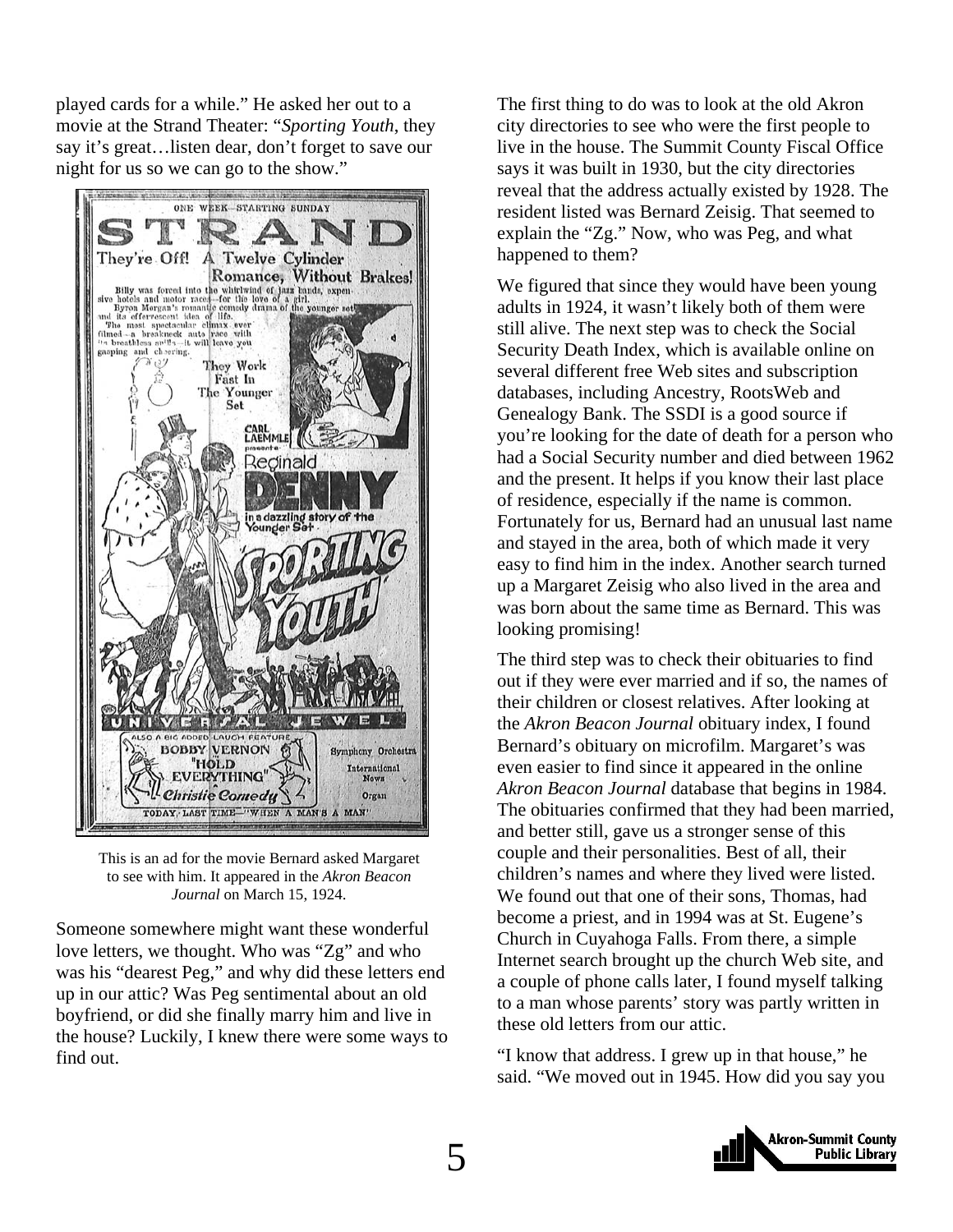played cards for a while." He asked her out to a movie at the Strand Theater: "*Sporting Youth*, they say it's great…listen dear, don't forget to save our night for us so we can go to the show."



This is an ad for the movie Bernard asked Margaret to see with him. It appeared in the *Akron Beacon Journal* on March 15, 1924.

Someone somewhere might want these wonderful love letters, we thought. Who was "Zg" and who was his "dearest Peg," and why did these letters end up in our attic? Was Peg sentimental about an old boyfriend, or did she finally marry him and live in the house? Luckily, I knew there were some ways to find out.

The first thing to do was to look at the old Akron city directories to see who were the first people to live in the house. The Summit County Fiscal Office says it was built in 1930, but the city directories reveal that the address actually existed by 1928. The resident listed was Bernard Zeisig. That seemed to explain the "Zg." Now, who was Peg, and what happened to them?

We figured that since they would have been young adults in 1924, it wasn't likely both of them were still alive. The next step was to check the Social Security Death Index, which is available online on several different free Web sites and subscription databases, including Ancestry, RootsWeb and Genealogy Bank. The SSDI is a good source if you're looking for the date of death for a person who had a Social Security number and died between 1962 and the present. It helps if you know their last place of residence, especially if the name is common. Fortunately for us, Bernard had an unusual last name and stayed in the area, both of which made it very easy to find him in the index. Another search turned up a Margaret Zeisig who also lived in the area and was born about the same time as Bernard. This was looking promising!

The third step was to check their obituaries to find out if they were ever married and if so, the names of their children or closest relatives. After looking at the *Akron Beacon Journal* obituary index, I found Bernard's obituary on microfilm. Margaret's was even easier to find since it appeared in the online *Akron Beacon Journal* database that begins in 1984. The obituaries confirmed that they had been married, and better still, gave us a stronger sense of this couple and their personalities. Best of all, their children's names and where they lived were listed. We found out that one of their sons, Thomas, had become a priest, and in 1994 was at St. Eugene's Church in Cuyahoga Falls. From there, a simple Internet search brought up the church Web site, and a couple of phone calls later, I found myself talking to a man whose parents' story was partly written in these old letters from our attic.

"I know that address. I grew up in that house," he said. "We moved out in 1945. How did you say you

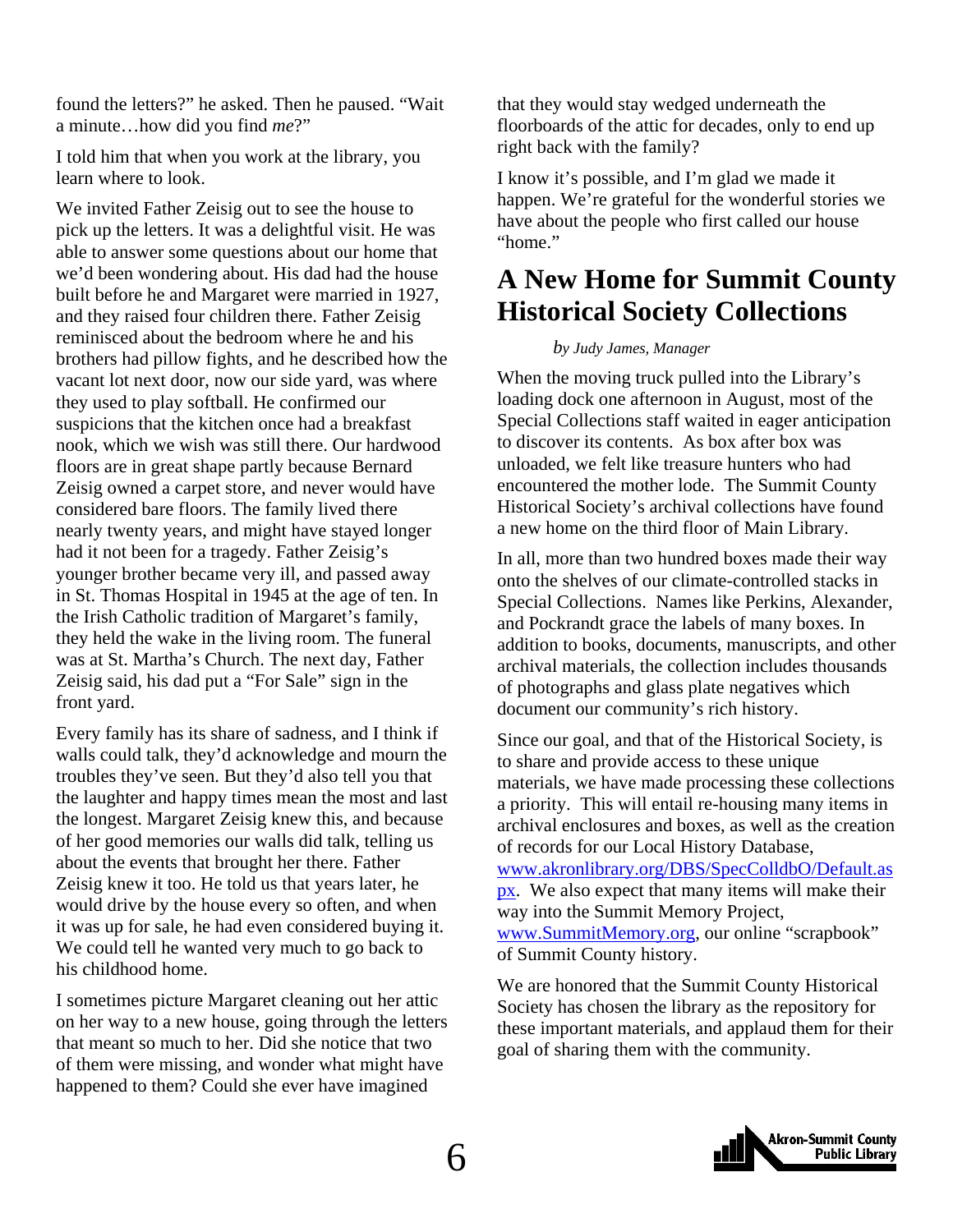<span id="page-5-0"></span>found the letters?" he asked. Then he paused. "Wait a minute…how did you find *me*?"

I told him that when you work at the library, you learn where to look.

We invited Father Zeisig out to see the house to pick up the letters. It was a delightful visit. He was able to answer some questions about our home that we'd been wondering about. His dad had the house built before he and Margaret were married in 1927, and they raised four children there. Father Zeisig reminisced about the bedroom where he and his brothers had pillow fights, and he described how the vacant lot next door, now our side yard, was where they used to play softball. He confirmed our suspicions that the kitchen once had a breakfast nook, which we wish was still there. Our hardwood floors are in great shape partly because Bernard Zeisig owned a carpet store, and never would have considered bare floors. The family lived there nearly twenty years, and might have stayed longer had it not been for a tragedy. Father Zeisig's younger brother became very ill, and passed away in St. Thomas Hospital in 1945 at the age of ten. In the Irish Catholic tradition of Margaret's family, they held the wake in the living room. The funeral was at St. Martha's Church. The next day, Father Zeisig said, his dad put a "For Sale" sign in the front yard.

Every family has its share of sadness, and I think if walls could talk, they'd acknowledge and mourn the troubles they've seen. But they'd also tell you that the laughter and happy times mean the most and last the longest. Margaret Zeisig knew this, and because of her good memories our walls did talk, telling us about the events that brought her there. Father Zeisig knew it too. He told us that years later, he would drive by the house every so often, and when it was up for sale, he had even considered buying it. We could tell he wanted very much to go back to his childhood home.

I sometimes picture Margaret cleaning out her attic on her way to a new house, going through the letters that meant so much to her. Did she notice that two of them were missing, and wonder what might have happened to them? Could she ever have imagined

that they would stay wedged underneath the floorboards of the attic for decades, only to end up right back with the family?

I know it's possible, and I'm glad we made it happen. We're grateful for the wonderful stories we have about the people who first called our house "home."

# **A New Home for Summit County Historical Society Collections**

#### *by Judy James, Manager*

When the moving truck pulled into the Library's loading dock one afternoon in August, most of the Special Collections staff waited in eager anticipation to discover its contents. As box after box was unloaded, we felt like treasure hunters who had encountered the mother lode. The Summit County Historical Society's archival collections have found a new home on the third floor of Main Library.

In all, more than two hundred boxes made their way onto the shelves of our climate-controlled stacks in Special Collections. Names like Perkins, Alexander, and Pockrandt grace the labels of many boxes. In addition to books, documents, manuscripts, and other archival materials, the collection includes thousands of photographs and glass plate negatives which document our community's rich history.

Since our goal, and that of the Historical Society, is to share and provide access to these unique materials, we have made processing these collections a priority. This will entail re-housing many items in archival enclosures and boxes, as well as the creation of records for our Local History Database, [www.akronlibrary.org/DBS/SpecColldbO/Default.as](http://www.akronlibrary.org/DBS/SpecColldbO/Default.aspx) [px.](http://www.akronlibrary.org/DBS/SpecColldbO/Default.aspx) We also expect that many items will make their way into the Summit Memory Project, [www.SummitMemory.org,](http://www.summitmemory.org/) our online "scrapbook" of Summit County history.

We are honored that the Summit County Historical Society has chosen the library as the repository for these important materials, and applaud them for their goal of sharing them with the community.

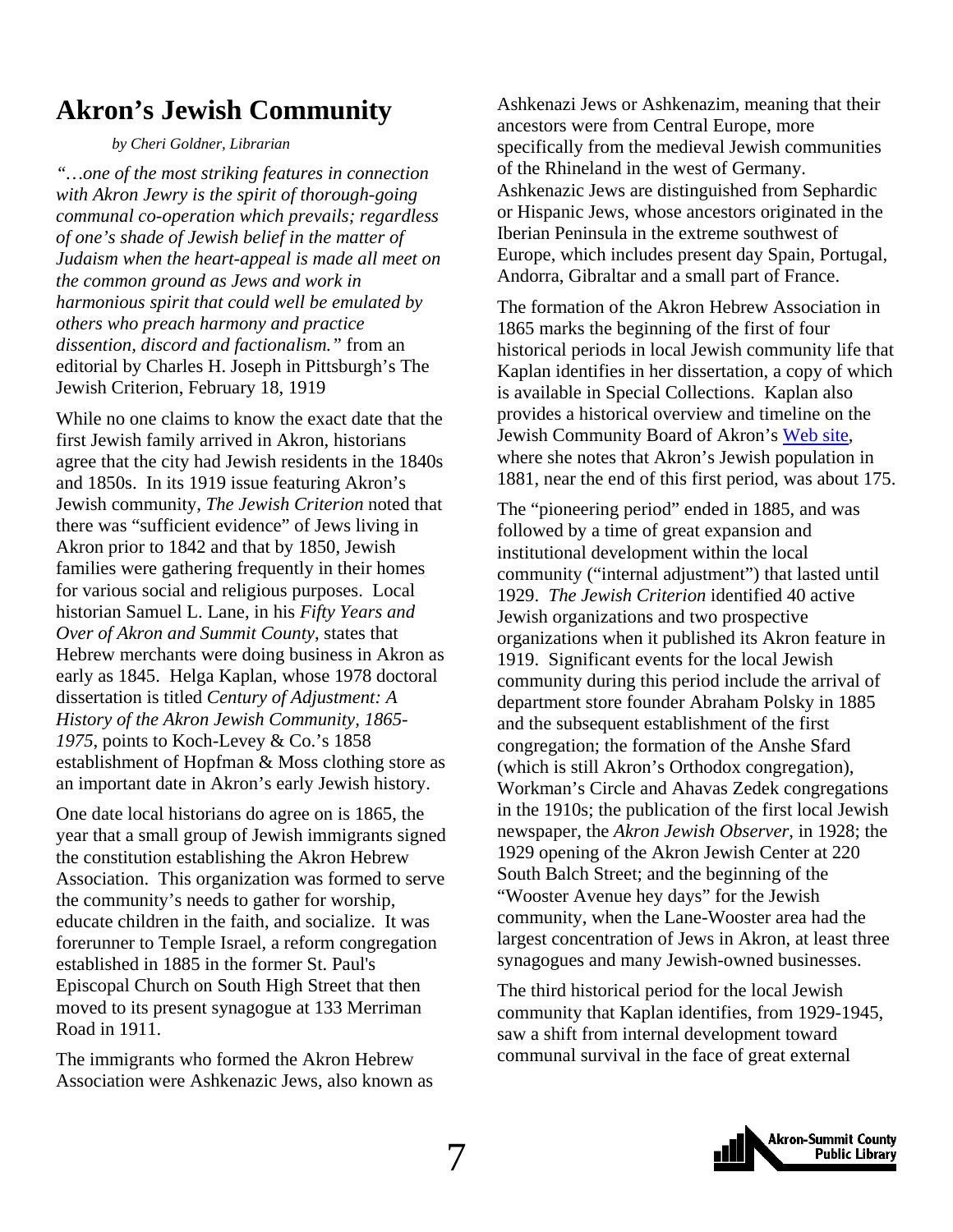# <span id="page-6-0"></span>**Akron's Jewish Community**

 *by Cheri Goldner, Librarian* 

*"…one of the most striking features in connection with Akron Jewry is the spirit of thorough-going communal co-operation which prevails; regardless of one's shade of Jewish belief in the matter of Judaism when the heart-appeal is made all meet on the common ground as Jews and work in harmonious spirit that could well be emulated by others who preach harmony and practice dissention, discord and factionalism."* from an editorial by Charles H. Joseph in Pittsburgh's The Jewish Criterion, February 18, 1919

While no one claims to know the exact date that the first Jewish family arrived in Akron, historians agree that the city had Jewish residents in the 1840s and 1850s. In its 1919 issue featuring Akron's Jewish community, *The Jewish Criterion* noted that there was "sufficient evidence" of Jews living in Akron prior to 1842 and that by 1850, Jewish families were gathering frequently in their homes for various social and religious purposes. Local historian Samuel L. Lane, in his *Fifty Years and Over of Akron and Summit County*, states that Hebrew merchants were doing business in Akron as early as 1845. Helga Kaplan, whose 1978 doctoral dissertation is titled *Century of Adjustment: A History of the Akron Jewish Community, 1865- 1975*, points to Koch-Levey & Co.'s 1858 establishment of Hopfman & Moss clothing store as an important date in Akron's early Jewish history.

One date local historians do agree on is 1865, the year that a small group of Jewish immigrants signed the constitution establishing the Akron Hebrew Association. This organization was formed to serve the community's needs to gather for worship, educate children in the faith, and socialize. It was forerunner to Temple Israel, a reform congregation established in 1885 in the former St. Paul's Episcopal Church on South High Street that then moved to its present synagogue at 133 Merriman Road in 1911.

The immigrants who formed the Akron Hebrew Association were Ashkenazic Jews, also known as

Ashkenazi Jews or Ashkenazim, meaning that their ancestors were from Central Europe, more specifically from the medieval Jewish communities of the Rhineland in the west of Germany. Ashkenazic Jews are distinguished from Sephardic or Hispanic Jews, whose ancestors originated in the Iberian Peninsula in the extreme southwest of [Europe](http://en.wikipedia.org/wiki/Europe), which includes present day Spain, Portugal, Andorra, Gibraltar and a small part of France.

The formation of the Akron Hebrew Association in 1865 marks the beginning of the first of four historical periods in local Jewish community life that Kaplan identifies in her dissertation, a copy of which is available in Special Collections. Kaplan also provides a historical overview and timeline on the Jewish Community Board of Akron's [Web site](http://akron.ujcweb.org/page.aspx?id=143252), where she notes that Akron's Jewish population in 1881, near the end of this first period, was about 175.

The "pioneering period" ended in 1885, and was followed by a time of great expansion and institutional development within the local community ("internal adjustment") that lasted until 1929. *The Jewish Criterion* identified 40 active Jewish organizations and two prospective organizations when it published its Akron feature in 1919. Significant events for the local Jewish community during this period include the arrival of department store founder Abraham Polsky in 1885 and the subsequent establishment of the first congregation; the formation of the Anshe Sfard (which is still Akron's Orthodox congregation), Workman's Circle and Ahavas Zedek congregations in the 1910s; the publication of the first local Jewish newspaper, the *Akron Jewish Observer*, in 1928; the 1929 opening of the Akron Jewish Center at 220 South Balch Street; and the beginning of the "Wooster Avenue hey days" for the Jewish community, when the Lane-Wooster area had the largest concentration of Jews in Akron, at least three synagogues and many Jewish-owned businesses.

The third historical period for the local Jewish community that Kaplan identifies, from 1929-1945, saw a shift from internal development toward communal survival in the face of great external

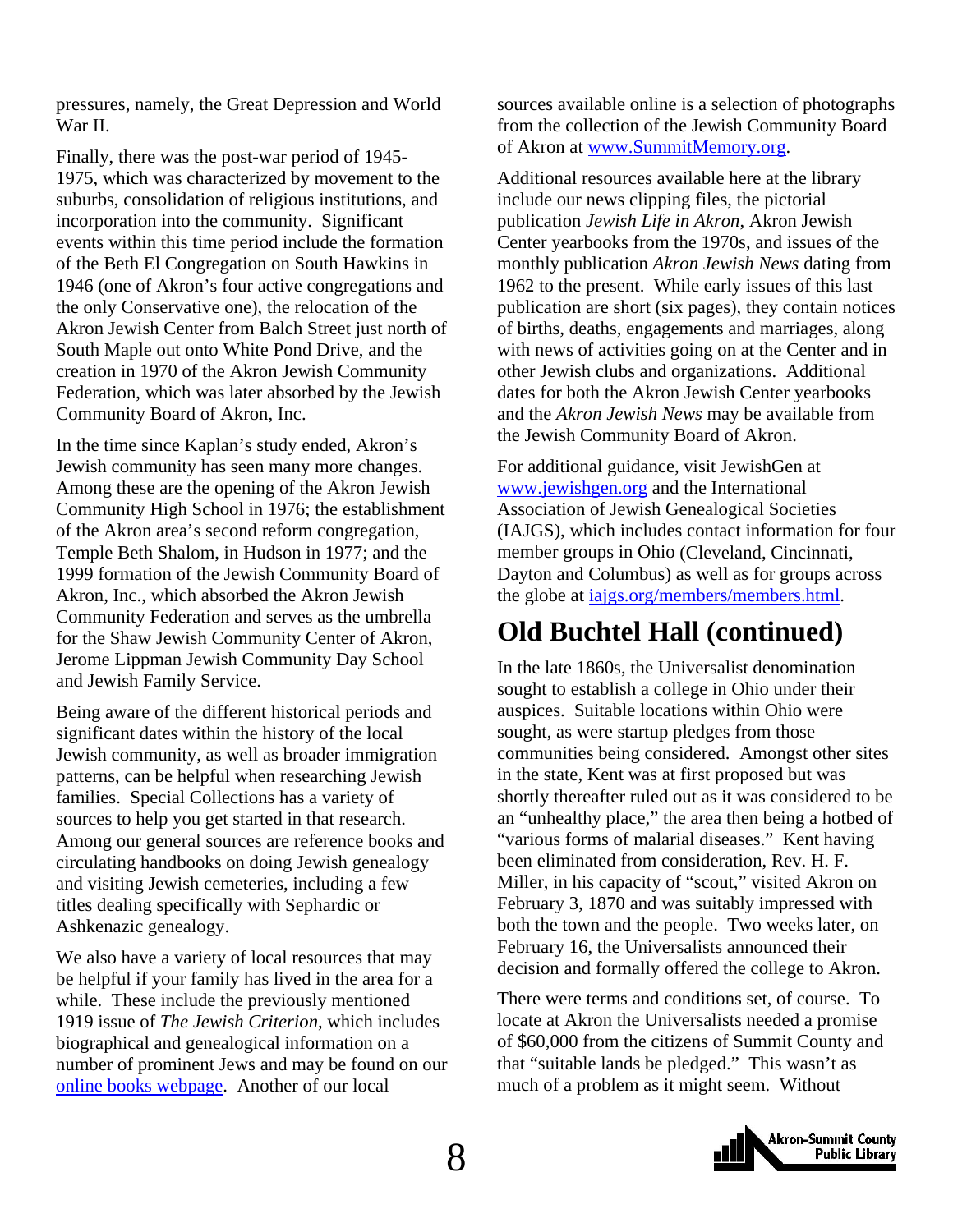<span id="page-7-0"></span>pressures, namely, the Great Depression and World War II.

Finally, there was the post-war period of 1945- 1975, which was characterized by movement to the suburbs, consolidation of religious institutions, and incorporation into the community. Significant events within this time period include the formation of the Beth El Congregation on South Hawkins in 1946 (one of Akron's four active congregations and the only Conservative one), the relocation of the Akron Jewish Center from Balch Street just north of South Maple out onto White Pond Drive, and the creation in 1970 of the Akron Jewish Community Federation, which was later absorbed by the Jewish Community Board of Akron, Inc.

In the time since Kaplan's study ended, Akron's Jewish community has seen many more changes. Among these are the opening of the Akron Jewish Community High School in 1976; the establishment of the Akron area's second reform congregation, Temple Beth Shalom, in Hudson in 1977; and the 1999 formation of the Jewish Community Board of Akron, Inc., which absorbed the Akron Jewish Community Federation and serves as the umbrella for the Shaw Jewish Community Center of Akron, Jerome Lippman Jewish Community Day School and Jewish Family Service.

Being aware of the different historical periods and significant dates within the history of the local Jewish community, as well as broader immigration patterns, can be helpful when researching Jewish families. Special Collections has a variety of sources to help you get started in that research. Among our general sources are reference books and circulating handbooks on doing Jewish genealogy and visiting Jewish cemeteries, including a few titles dealing specifically with Sephardic or Ashkenazic genealogy.

We also have a variety of local resources that may be helpful if your family has lived in the area for a while. These include the previously mentioned 1919 issue of *The Jewish Criterion*, which includes biographical and genealogical information on a number of prominent Jews and may be found on our [online books webpage](http://www.akronlibrary.org/internetresources/sc/OnlineBooks/onlinebks.html). Another of our local

sources available online is a selection of photographs from the collection of the Jewish Community Board of Akron at [www.SummitMemory.org](http://www.summitmemory.org/).

Additional resources available here at the library include our news clipping files, the pictorial publication *Jewish Life in Akron*, Akron Jewish Center yearbooks from the 1970s, and issues of the monthly publication *Akron Jewish News* dating from 1962 to the present. While early issues of this last publication are short (six pages), they contain notices of births, deaths, engagements and marriages, along with news of activities going on at the Center and in other Jewish clubs and organizations. Additional dates for both the Akron Jewish Center yearbooks and the *Akron Jewish News* may be available from the Jewish Community Board of Akron.

For additional guidance, visit JewishGen at [www.jewishgen.org](http://www.jewishgen.org/) and the International Association of Jewish Genealogical Societies (IAJGS), which includes contact information for four member groups in Ohio (Cleveland, Cincinnati, Dayton and Columbus) as well as for groups across the globe at *iajgs.org/members/members.html*.

# **Old Buchtel Hall (continued)**

In the late 1860s, the Universalist denomination sought to establish a college in Ohio under their auspices. Suitable locations within Ohio were sought, as were startup pledges from those communities being considered. Amongst other sites in the state, Kent was at first proposed but was shortly thereafter ruled out as it was considered to be an "unhealthy place," the area then being a hotbed of "various forms of malarial diseases." Kent having been eliminated from consideration, Rev. H. F. Miller, in his capacity of "scout," visited Akron on February 3, 1870 and was suitably impressed with both the town and the people. Two weeks later, on February 16, the Universalists announced their decision and formally offered the college to Akron.

There were terms and conditions set, of course. To locate at Akron the Universalists needed a promise of \$60,000 from the citizens of Summit County and that "suitable lands be pledged." This wasn't as much of a problem as it might seem. Without

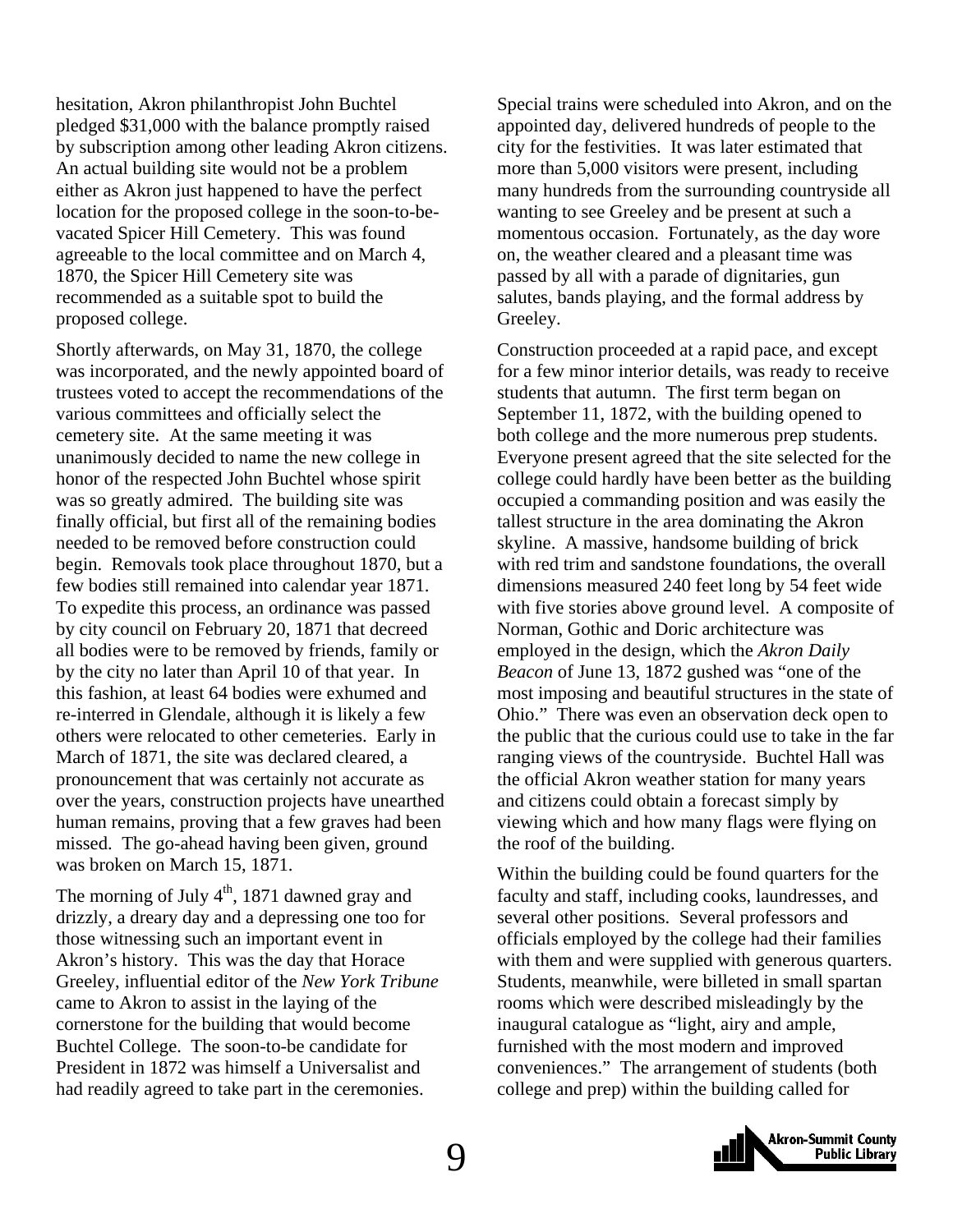hesitation, Akron philanthropist John Buchtel pledged \$31,000 with the balance promptly raised by subscription among other leading Akron citizens. An actual building site would not be a problem either as Akron just happened to have the perfect location for the proposed college in the soon-to-bevacated Spicer Hill Cemetery. This was found agreeable to the local committee and on March 4, 1870, the Spicer Hill Cemetery site was recommended as a suitable spot to build the proposed college.

Shortly afterwards, on May 31, 1870, the college was incorporated, and the newly appointed board of trustees voted to accept the recommendations of the various committees and officially select the cemetery site. At the same meeting it was unanimously decided to name the new college in honor of the respected John Buchtel whose spirit was so greatly admired. The building site was finally official, but first all of the remaining bodies needed to be removed before construction could begin. Removals took place throughout 1870, but a few bodies still remained into calendar year 1871. To expedite this process, an ordinance was passed by city council on February 20, 1871 that decreed all bodies were to be removed by friends, family or by the city no later than April 10 of that year. In this fashion, at least 64 bodies were exhumed and re-interred in Glendale, although it is likely a few others were relocated to other cemeteries. Early in March of 1871, the site was declared cleared, a pronouncement that was certainly not accurate as over the years, construction projects have unearthed human remains, proving that a few graves had been missed. The go-ahead having been given, ground was broken on March 15, 1871.

The morning of July  $4<sup>th</sup>$ , 1871 dawned gray and drizzly, a dreary day and a depressing one too for those witnessing such an important event in Akron's history. This was the day that Horace Greeley, influential editor of the *New York Tribune* came to Akron to assist in the laying of the cornerstone for the building that would become Buchtel College. The soon-to-be candidate for President in 1872 was himself a Universalist and had readily agreed to take part in the ceremonies.

Special trains were scheduled into Akron, and on the appointed day, delivered hundreds of people to the city for the festivities. It was later estimated that more than 5,000 visitors were present, including many hundreds from the surrounding countryside all wanting to see Greeley and be present at such a momentous occasion. Fortunately, as the day wore on, the weather cleared and a pleasant time was passed by all with a parade of dignitaries, gun salutes, bands playing, and the formal address by Greeley.

Construction proceeded at a rapid pace, and except for a few minor interior details, was ready to receive students that autumn. The first term began on September 11, 1872, with the building opened to both college and the more numerous prep students. Everyone present agreed that the site selected for the college could hardly have been better as the building occupied a commanding position and was easily the tallest structure in the area dominating the Akron skyline. A massive, handsome building of brick with red trim and sandstone foundations, the overall dimensions measured 240 feet long by 54 feet wide with five stories above ground level. A composite of Norman, Gothic and Doric architecture was employed in the design, which the *Akron Daily Beacon* of June 13, 1872 gushed was "one of the most imposing and beautiful structures in the state of Ohio." There was even an observation deck open to the public that the curious could use to take in the far ranging views of the countryside. Buchtel Hall was the official Akron weather station for many years and citizens could obtain a forecast simply by viewing which and how many flags were flying on the roof of the building.

Within the building could be found quarters for the faculty and staff, including cooks, laundresses, and several other positions. Several professors and officials employed by the college had their families with them and were supplied with generous quarters. Students, meanwhile, were billeted in small spartan rooms which were described misleadingly by the inaugural catalogue as "light, airy and ample, furnished with the most modern and improved conveniences." The arrangement of students (both college and prep) within the building called for

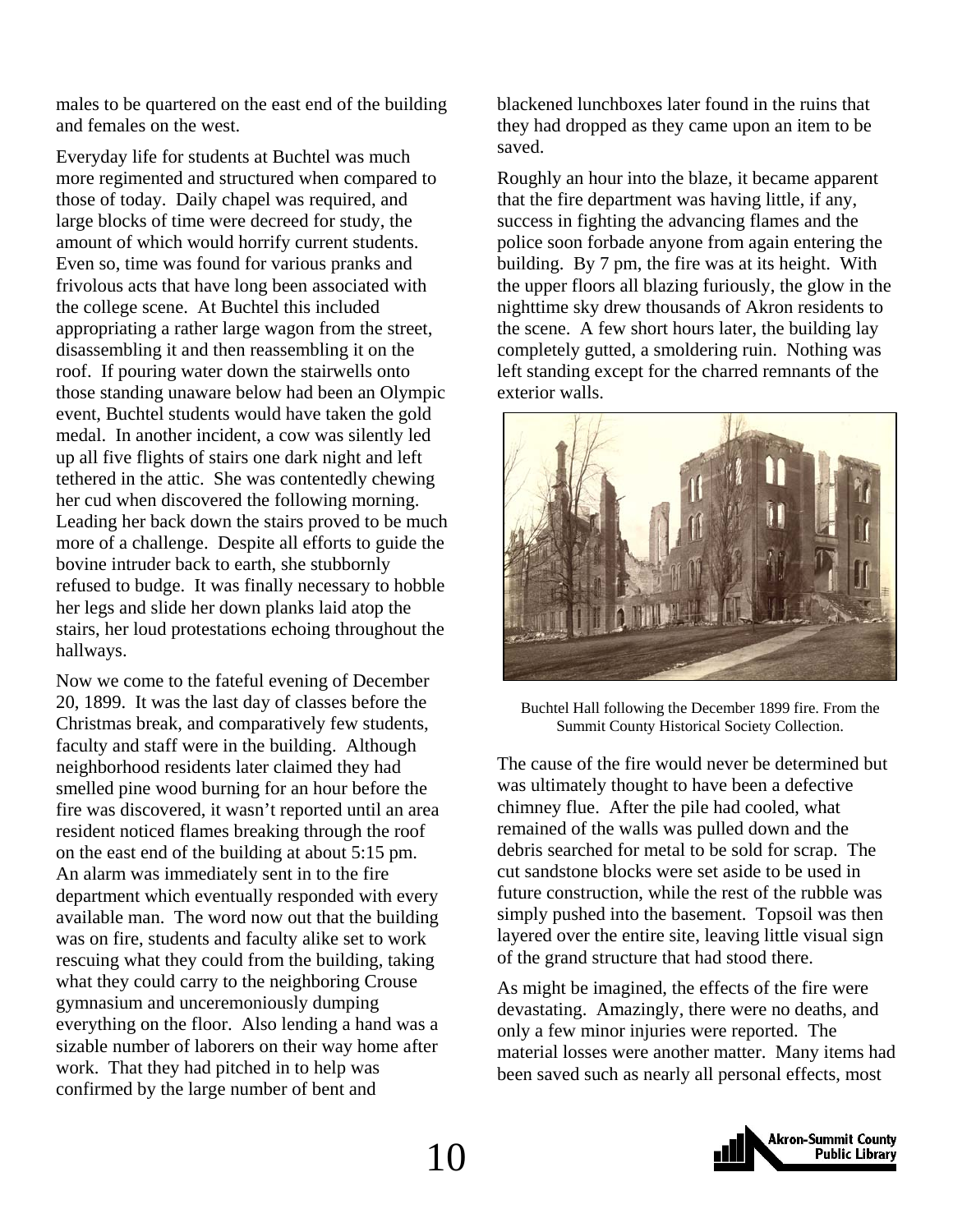males to be quartered on the east end of the building and females on the west.

Everyday life for students at Buchtel was much more regimented and structured when compared to those of today. Daily chapel was required, and large blocks of time were decreed for study, the amount of which would horrify current students. Even so, time was found for various pranks and frivolous acts that have long been associated with the college scene. At Buchtel this included appropriating a rather large wagon from the street, disassembling it and then reassembling it on the roof. If pouring water down the stairwells onto those standing unaware below had been an Olympic event, Buchtel students would have taken the gold medal. In another incident, a cow was silently led up all five flights of stairs one dark night and left tethered in the attic. She was contentedly chewing her cud when discovered the following morning. Leading her back down the stairs proved to be much more of a challenge. Despite all efforts to guide the bovine intruder back to earth, she stubbornly refused to budge. It was finally necessary to hobble her legs and slide her down planks laid atop the stairs, her loud protestations echoing throughout the hallways.

Now we come to the fateful evening of December 20, 1899. It was the last day of classes before the Christmas break, and comparatively few students, faculty and staff were in the building. Although neighborhood residents later claimed they had smelled pine wood burning for an hour before the fire was discovered, it wasn't reported until an area resident noticed flames breaking through the roof on the east end of the building at about 5:15 pm. An alarm was immediately sent in to the fire department which eventually responded with every available man. The word now out that the building was on fire, students and faculty alike set to work rescuing what they could from the building, taking what they could carry to the neighboring Crouse gymnasium and unceremoniously dumping everything on the floor. Also lending a hand was a sizable number of laborers on their way home after work. That they had pitched in to help was confirmed by the large number of bent and

blackened lunchboxes later found in the ruins that they had dropped as they came upon an item to be saved.

Roughly an hour into the blaze, it became apparent that the fire department was having little, if any, success in fighting the advancing flames and the police soon forbade anyone from again entering the building. By 7 pm, the fire was at its height. With the upper floors all blazing furiously, the glow in the nighttime sky drew thousands of Akron residents to the scene. A few short hours later, the building lay completely gutted, a smoldering ruin. Nothing was left standing except for the charred remnants of the exterior walls.



Buchtel Hall following the December 1899 fire. From the Summit County Historical Society Collection.

The cause of the fire would never be determined but was ultimately thought to have been a defective chimney flue. After the pile had cooled, what remained of the walls was pulled down and the debris searched for metal to be sold for scrap. The cut sandstone blocks were set aside to be used in future construction, while the rest of the rubble was simply pushed into the basement. Topsoil was then layered over the entire site, leaving little visual sign of the grand structure that had stood there.

As might be imagined, the effects of the fire were devastating. Amazingly, there were no deaths, and only a few minor injuries were reported. The material losses were another matter. Many items had been saved such as nearly all personal effects, most

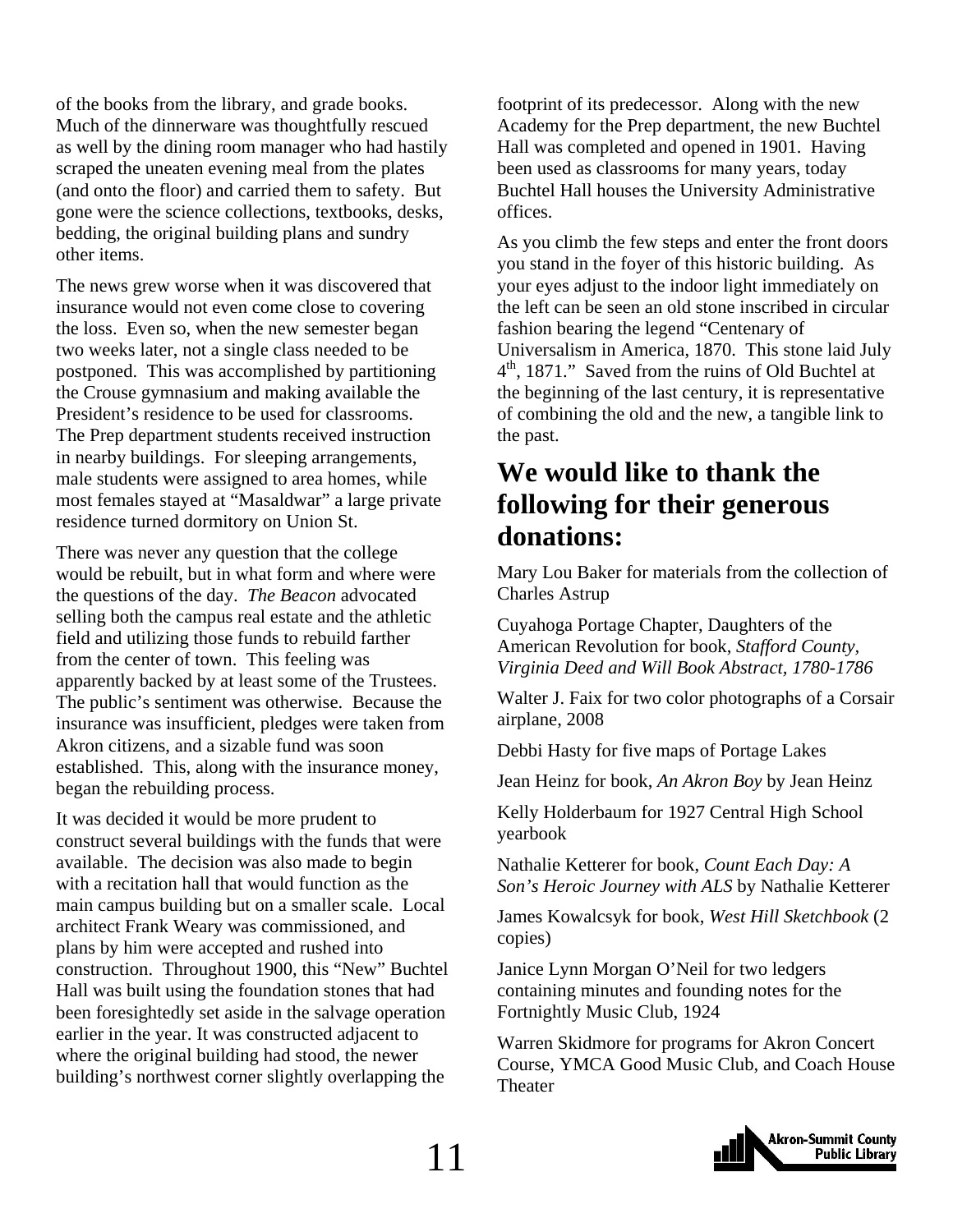<span id="page-10-0"></span>of the books from the library, and grade books. Much of the dinnerware was thoughtfully rescued as well by the dining room manager who had hastily scraped the uneaten evening meal from the plates (and onto the floor) and carried them to safety. But gone were the science collections, textbooks, desks, bedding, the original building plans and sundry other items.

The news grew worse when it was discovered that insurance would not even come close to covering the loss. Even so, when the new semester began two weeks later, not a single class needed to be postponed. This was accomplished by partitioning the Crouse gymnasium and making available the President's residence to be used for classrooms. The Prep department students received instruction in nearby buildings. For sleeping arrangements, male students were assigned to area homes, while most females stayed at "Masaldwar" a large private residence turned dormitory on Union St.

There was never any question that the college would be rebuilt, but in what form and where were the questions of the day. *The Beacon* advocated selling both the campus real estate and the athletic field and utilizing those funds to rebuild farther from the center of town. This feeling was apparently backed by at least some of the Trustees. The public's sentiment was otherwise. Because the insurance was insufficient, pledges were taken from Akron citizens, and a sizable fund was soon established. This, along with the insurance money, began the rebuilding process.

It was decided it would be more prudent to construct several buildings with the funds that were available. The decision was also made to begin with a recitation hall that would function as the main campus building but on a smaller scale. Local architect Frank Weary was commissioned, and plans by him were accepted and rushed into construction. Throughout 1900, this "New" Buchtel Hall was built using the foundation stones that had been foresightedly set aside in the salvage operation earlier in the year. It was constructed adjacent to where the original building had stood, the newer building's northwest corner slightly overlapping the

footprint of its predecessor. Along with the new Academy for the Prep department, the new Buchtel Hall was completed and opened in 1901. Having been used as classrooms for many years, today Buchtel Hall houses the University Administrative offices.

As you climb the few steps and enter the front doors you stand in the foyer of this historic building. As your eyes adjust to the indoor light immediately on the left can be seen an old stone inscribed in circular fashion bearing the legend "Centenary of Universalism in America, 1870. This stone laid July  $4<sup>th</sup>$ , 1871." Saved from the ruins of Old Buchtel at the beginning of the last century, it is representative of combining the old and the new, a tangible link to the past.

## **We would like to thank the following for their generous donations:**

Mary Lou Baker for materials from the collection of Charles Astrup

Cuyahoga Portage Chapter, Daughters of the American Revolution for book, *Stafford County, Virginia Deed and Will Book Abstract, 1780-1786*

Walter J. Faix for two color photographs of a Corsair airplane, 2008

Debbi Hasty for five maps of Portage Lakes

Jean Heinz for book, *An Akron Boy* by Jean Heinz

Kelly Holderbaum for 1927 Central High School yearbook

Nathalie Ketterer for book, *Count Each Day: A Son's Heroic Journey with ALS* by Nathalie Ketterer

James Kowalcsyk for book, *West Hill Sketchbook* (2 copies)

Janice Lynn Morgan O'Neil for two ledgers containing minutes and founding notes for the Fortnightly Music Club, 1924

Warren Skidmore for programs for Akron Concert Course, YMCA Good Music Club, and Coach House Theater

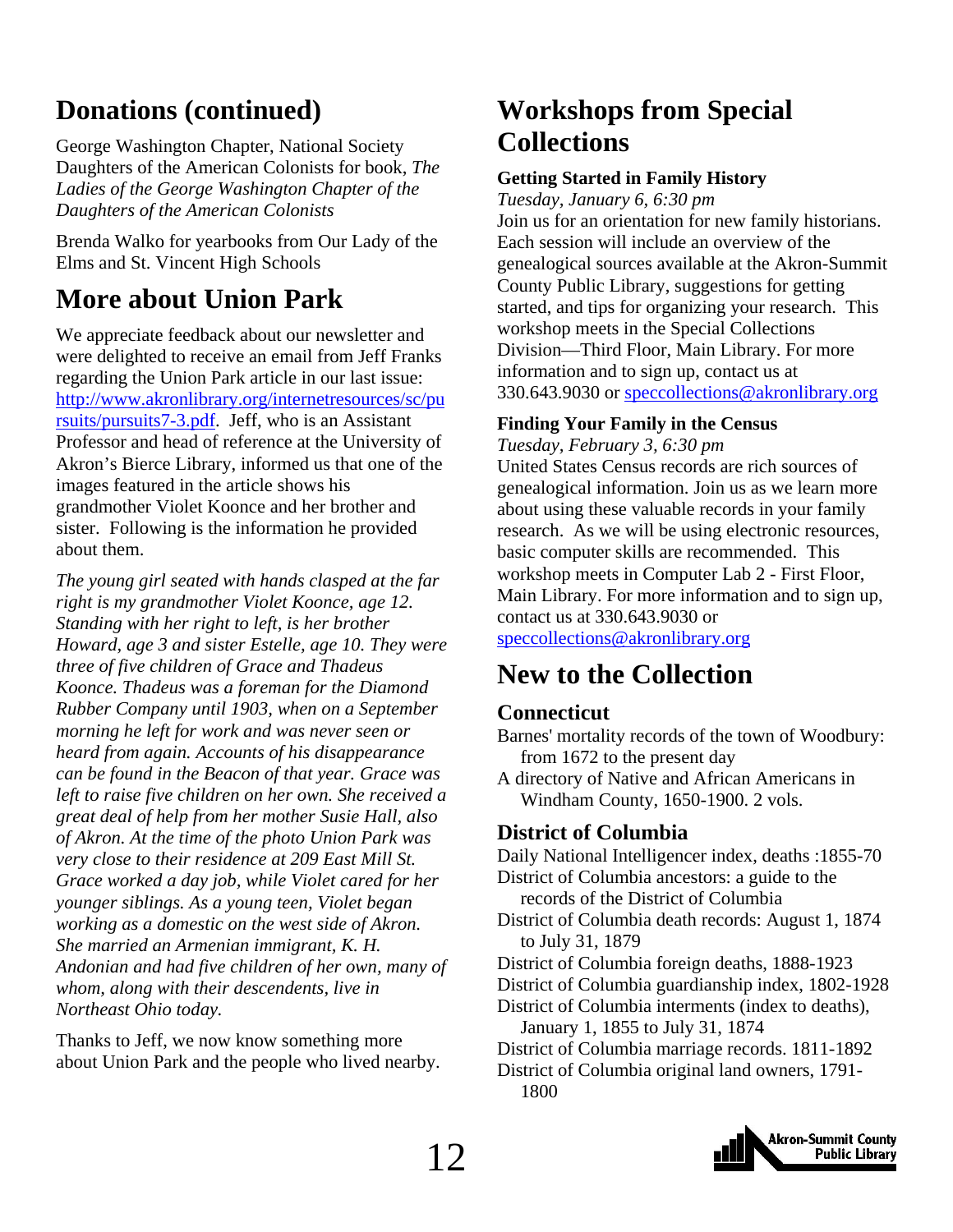# <span id="page-11-0"></span>**Donations (continued)**

George Washington Chapter, National Society Daughters of the American Colonists for book, *The Ladies of the George Washington Chapter of the Daughters of the American Colonists*

Brenda Walko for yearbooks from Our Lady of the Elms and St. Vincent High Schools

# **More about Union Park**

We appreciate feedback about our newsletter and were delighted to receive an email from Jeff Franks regarding the Union Park article in our last issue: [http://www.akronlibrary.org/internetresources/sc/pu](http://www.akronlibrary.org/internetresources/sc/pursuits/pursuits7-3.pdf) [rsuits/pursuits7-3.pdf](http://www.akronlibrary.org/internetresources/sc/pursuits/pursuits7-3.pdf). Jeff, who is an Assistant Professor and head of reference at the University of Akron's Bierce Library, informed us that one of the images featured in the article shows his grandmother Violet Koonce and her brother and sister. Following is the information he provided about them.

*The young girl seated with hands clasped at the far right is my grandmother Violet Koonce, age 12. Standing with her right to left, is her brother Howard, age 3 and sister Estelle, age 10. They were three of five children of Grace and Thadeus Koonce. Thadeus was a foreman for the Diamond Rubber Company until 1903, when on a September morning he left for work and was never seen or heard from again. Accounts of his disappearance can be found in the Beacon of that year. Grace was left to raise five children on her own. She received a great deal of help from her mother Susie Hall, also of Akron. At the time of the photo Union Park was very close to their residence at 209 East Mill St. Grace worked a day job, while Violet cared for her younger siblings. As a young teen, Violet began working as a domestic on the west side of Akron. She married an Armenian immigrant, K. H. Andonian and had five children of her own, many of whom, along with their descendents, live in Northeast Ohio today.* 

Thanks to Jeff, we now know something more about Union Park and the people who lived nearby.

# **Workshops from Special Collections**

#### **Getting Started in Family History**

*Tuesday, January 6, 6:30 pm* 

Join us for an orientation for new family historians. Each session will include an overview of the genealogical sources available at the Akron-Summit County Public Library, suggestions for getting started, and tips for organizing your research. This workshop meets in the Special Collections Division—Third Floor, Main Library. For more information and to sign up, contact us at 330.643.9030 or [speccollections@akronlibrary.org](mailto:speccollections@akronlibrary.org)

#### **Finding Your Family in the Census**

*Tuesday, February 3, 6:30 pm*  United States Census records are rich sources of genealogical information. Join us as we learn more about using these valuable records in your family research. As we will be using electronic resources, basic computer skills are recommended. This workshop meets in Computer Lab 2 - First Floor, Main Library. For more information and to sign up, contact us at 330.643.9030 or [speccollections@akronlibrary.org](mailto:speccollections@akronlibrary.org)

# **New to the Collection**

#### **Connecticut**

Barnes' mortality records of the town of Woodbury: from 1672 to the present day

A directory of Native and African Americans in Windham County, 1650-1900. 2 vols.

#### **District of Columbia**

Daily National Intelligencer index, deaths :1855-70 District of Columbia ancestors: a guide to the records of the District of Columbia District of Columbia death records: August 1, 1874 to July 31, 1879 District of Columbia foreign deaths, 1888-1923 District of Columbia guardianship index, 1802-1928 District of Columbia interments (index to deaths), January 1, 1855 to July 31, 1874 District of Columbia marriage records. 1811-1892 District of Columbia original land owners, 1791- 1800

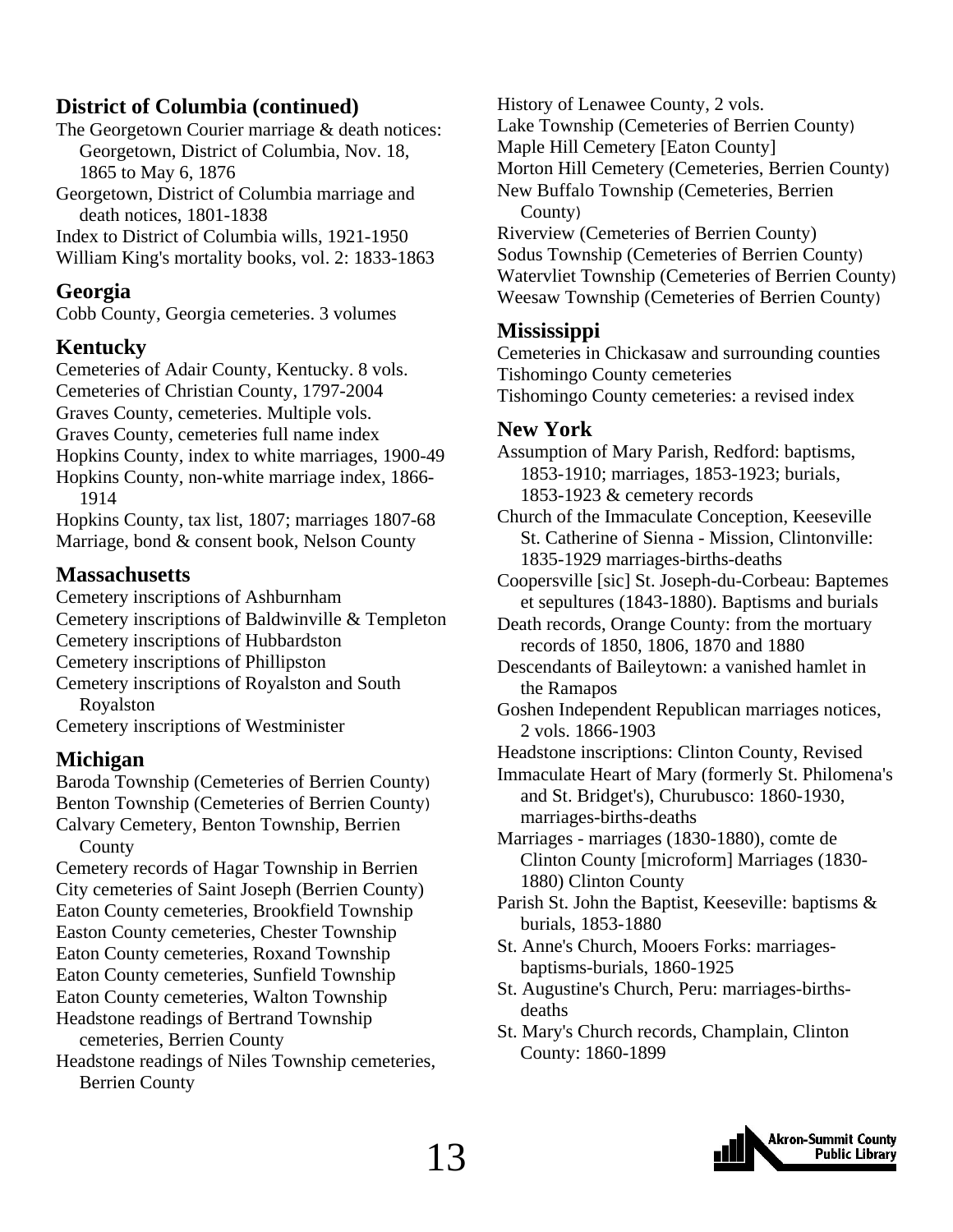#### **District of Columbia (continued)**

The Georgetown Courier marriage & death notices: Georgetown, District of Columbia, Nov. 18, 1865 to May 6, 1876 Georgetown, District of Columbia marriage and death notices, 1801-1838

Index to District of Columbia wills, 1921-1950

William King's mortality books, vol. 2: 1833-1863

#### **Georgia**

Cobb County, Georgia cemeteries. 3 volumes

#### **Kentucky**

Cemeteries of Adair County, Kentucky. 8 vols. Cemeteries of Christian County, 1797-2004 Graves County, cemeteries. Multiple vols. Graves County, cemeteries full name index Hopkins County, index to white marriages, 1900-49 Hopkins County, non-white marriage index, 1866- 1914 Hopkins County, tax list, 1807; marriages 1807-68

Marriage, bond & consent book, Nelson County

#### **Massachusetts**

Cemetery inscriptions of Ashburnham Cemetery inscriptions of Baldwinville & Templeton Cemetery inscriptions of Hubbardston Cemetery inscriptions of Phillipston Cemetery inscriptions of Royalston and South Royalston

Cemetery inscriptions of Westminister

#### **Michigan**

Baroda Township (Cemeteries of Berrien County) Benton Township (Cemeteries of Berrien County) Calvary Cemetery, Benton Township, Berrien County

Cemetery records of Hagar Township in Berrien City cemeteries of Saint Joseph (Berrien County) Eaton County cemeteries, Brookfield Township Easton County cemeteries, Chester Township Eaton County cemeteries, Roxand Township Eaton County cemeteries, Sunfield Township Eaton County cemeteries, Walton Township Headstone readings of Bertrand Township cemeteries, Berrien County

Headstone readings of Niles Township cemeteries, Berrien County

History of Lenawee County, 2 vols. Lake Township (Cemeteries of Berrien County) Maple Hill Cemetery [Eaton County] Morton Hill Cemetery (Cemeteries, Berrien County) New Buffalo Township (Cemeteries, Berrien County) Riverview (Cemeteries of Berrien County) Sodus Township (Cemeteries of Berrien County) Watervliet Township (Cemeteries of Berrien County) Weesaw Township (Cemeteries of Berrien County)

#### **Mississippi**

Cemeteries in Chickasaw and surrounding counties Tishomingo County cemeteries Tishomingo County cemeteries: a revised index

#### **New York**

Assumption of Mary Parish, Redford: baptisms, 1853-1910; marriages, 1853-1923; burials, 1853-1923 & cemetery records

Church of the Immaculate Conception, Keeseville St. Catherine of Sienna - Mission, Clintonville: 1835-1929 marriages-births-deaths

Coopersville [sic] St. Joseph-du-Corbeau: Baptemes et sepultures (1843-1880). Baptisms and burials

Death records, Orange County: from the mortuary records of 1850, 1806, 1870 and 1880

Descendants of Baileytown: a vanished hamlet in the Ramapos

Goshen Independent Republican marriages notices, 2 vols. 1866-1903

Headstone inscriptions: Clinton County, Revised

Immaculate Heart of Mary (formerly St. Philomena's and St. Bridget's), Churubusco: 1860-1930, marriages-births-deaths

Marriages - marriages (1830-1880), comte de Clinton County [microform] Marriages (1830- 1880) Clinton County

Parish St. John the Baptist, Keeseville: baptisms & burials, 1853-1880

- St. Anne's Church, Mooers Forks: marriages baptisms-burials, 1860-1925
- St. Augustine's Church, Peru: marriages-births deaths
- St. Mary's Church records, Champlain, Clinton County: 1860-1899

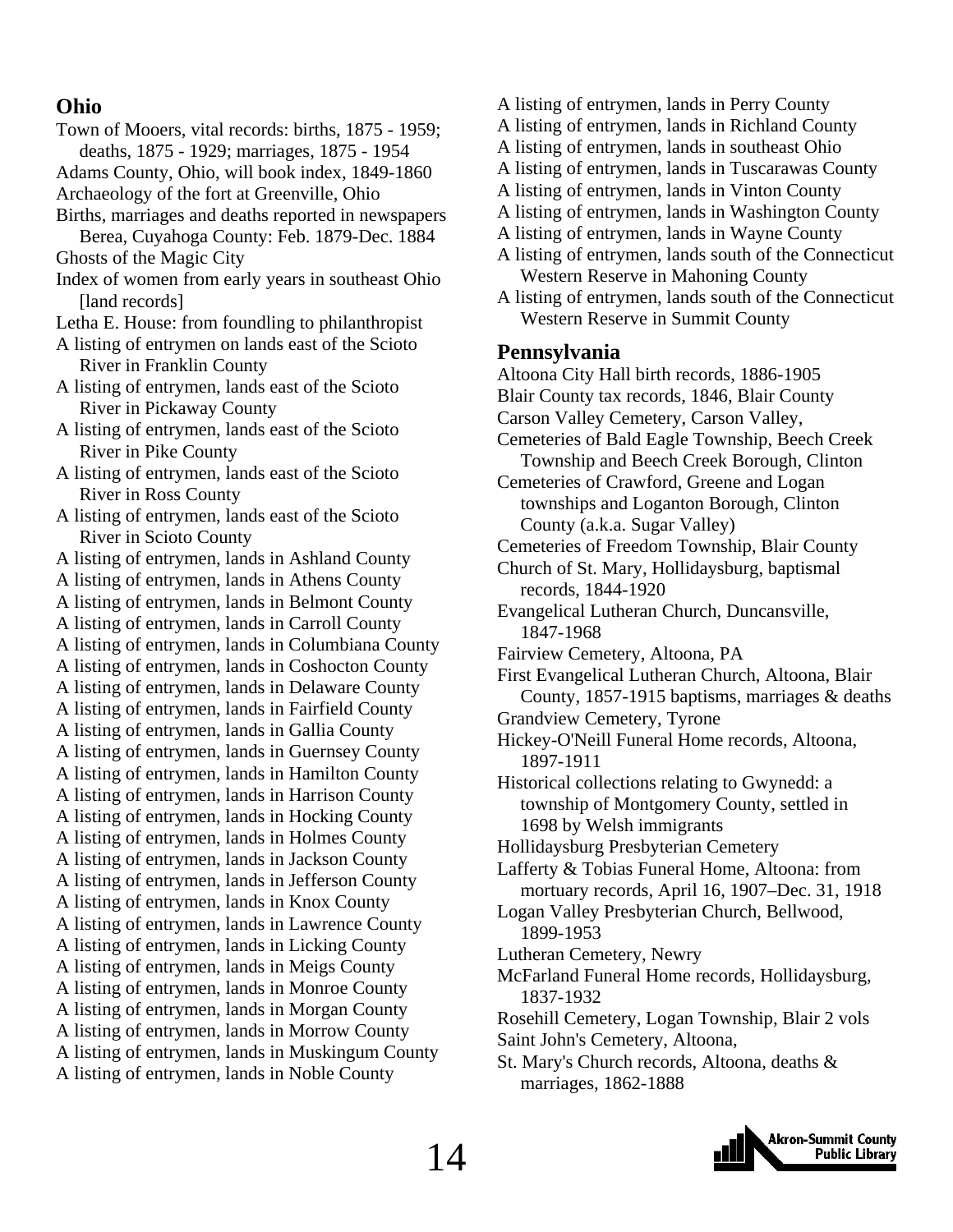#### **Ohio**

- Town of Mooers, vital records: births, 1875 1959; deaths, 1875 - 1929; marriages, 1875 - 1954
- Adams County, Ohio, will book index, 1849-1860 Archaeology of the fort at Greenville, Ohio
- Births, marriages and deaths reported in newspapers Berea, Cuyahoga County: Feb. 1879-Dec. 1884
- Ghosts of the Magic City
- Index of women from early years in southeast Ohio [land records]
- Letha E. House: from foundling to philanthropist
- A listing of entrymen on lands east of the Scioto River in Franklin County
- A listing of entrymen, lands east of the Scioto River in Pickaway County
- A listing of entrymen, lands east of the Scioto River in Pike County
- A listing of entrymen, lands east of the Scioto River in Ross County
- A listing of entrymen, lands east of the Scioto River in Scioto County

A listing of entrymen, lands in Ashland County A listing of entrymen, lands in Athens County A listing of entrymen, lands in Belmont County A listing of entrymen, lands in Carroll County A listing of entrymen, lands in Columbiana County A listing of entrymen, lands in Coshocton County A listing of entrymen, lands in Delaware County A listing of entrymen, lands in Fairfield County A listing of entrymen, lands in Gallia County A listing of entrymen, lands in Guernsey County A listing of entrymen, lands in Hamilton County A listing of entrymen, lands in Harrison County A listing of entrymen, lands in Hocking County A listing of entrymen, lands in Holmes County A listing of entrymen, lands in Jackson County A listing of entrymen, lands in Jefferson County A listing of entrymen, lands in Knox County A listing of entrymen, lands in Lawrence County A listing of entrymen, lands in Licking County A listing of entrymen, lands in Meigs County A listing of entrymen, lands in Monroe County A listing of entrymen, lands in Morgan County A listing of entrymen, lands in Morrow County A listing of entrymen, lands in Muskingum County A listing of entrymen, lands in Noble County

- A listing of entrymen, lands in Perry County
- A listing of entrymen, lands in Richland County
- A listing of entrymen, lands in southeast Ohio
- A listing of entrymen, lands in Tuscarawas County
- A listing of entrymen, lands in Vinton County
- A listing of entrymen, lands in Washington County
- A listing of entrymen, lands in Wayne County
- A listing of entrymen, lands south of the Connecticut Western Reserve in Mahoning County
- A listing of entrymen, lands south of the Connecticut Western Reserve in Summit County

#### **Pennsylvania**

Altoona City Hall birth records, 1886-1905 Blair County tax records, 1846, Blair County Carson Valley Cemetery, Carson Valley, Cemeteries of Bald Eagle Township, Beech Creek Township and Beech Creek Borough, Clinton Cemeteries of Crawford, Greene and Logan townships and Loganton Borough, Clinton County (a.k.a. Sugar Valley) Cemeteries of Freedom Township, Blair County Church of St. Mary, Hollidaysburg, baptismal records, 1844-1920 Evangelical Lutheran Church, Duncansville, 1847-1968 Fairview Cemetery, Altoona, PA First Evangelical Lutheran Church, Altoona, Blair County, 1857-1915 baptisms, marriages & deaths Grandview Cemetery, Tyrone Hickey-O'Neill Funeral Home records, Altoona, 1897-1911 Historical collections relating to Gwynedd: a township of Montgomery County, settled in 1698 by Welsh immigrants Hollidaysburg Presbyterian Cemetery Lafferty & Tobias Funeral Home, Altoona: from mortuary records, April 16, 1907–Dec. 31, 1918 Logan Valley Presbyterian Church, Bellwood, 1899-1953 Lutheran Cemetery, Newry McFarland Funeral Home records, Hollidaysburg, 1837-1932 Rosehill Cemetery, Logan Township, Blair 2 vols Saint John's Cemetery, Altoona, St. Mary's Church records, Altoona, deaths &

marriages, 1862-1888

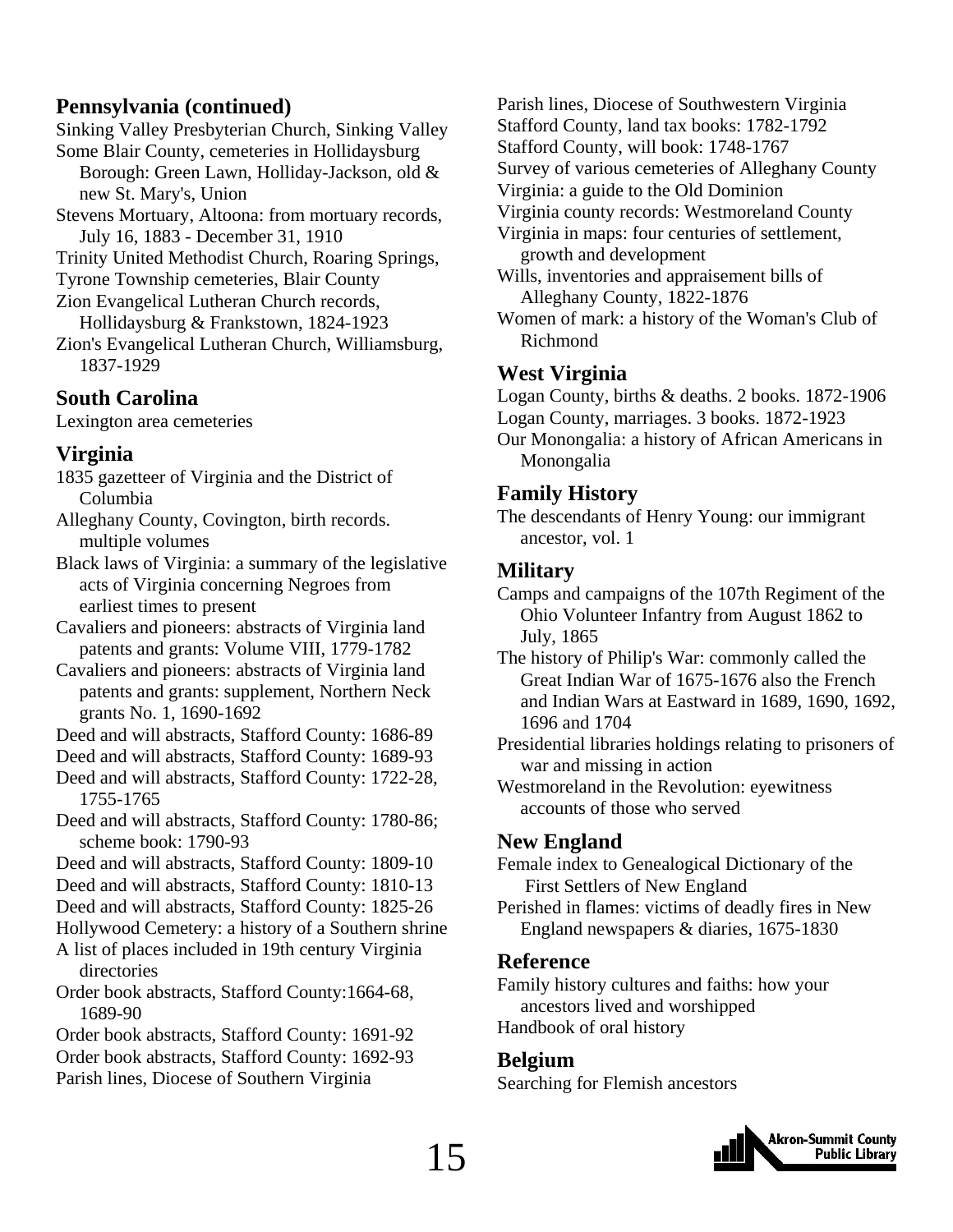#### **Pennsylvania (continued)**

Sinking Valley Presbyterian Church, Sinking Valley Some Blair County, cemeteries in Hollidaysburg

- Borough: Green Lawn, Holliday-Jackson, old & new St. Mary's, Union
- Stevens Mortuary, Altoona: from mortuary records, July 16, 1883 - December 31, 1910
- Trinity United Methodist Church, Roaring Springs,

Tyrone Township cemeteries, Blair County Zion Evangelical Lutheran Church records,

- Hollidaysburg & Frankstown, 1824-1923
- Zion's Evangelical Lutheran Church, Williamsburg, 1837-1929

#### **South Carolina**

Lexington area cemeteries

#### **Virginia**

- 1835 gazetteer of Virginia and the District of Columbia
- Alleghany County, Covington, birth records. multiple volumes

Black laws of Virginia: a summary of the legislative acts of Virginia concerning Negroes from earliest times to present

Cavaliers and pioneers: abstracts of Virginia land patents and grants: Volume VIII, 1779-1782

- Cavaliers and pioneers: abstracts of Virginia land patents and grants: supplement, Northern Neck grants No. 1, 1690-1692
- Deed and will abstracts, Stafford County: 1686-89
- Deed and will abstracts, Stafford County: 1689-93
- Deed and will abstracts, Stafford County: 1722-28, 1755-1765
- Deed and will abstracts, Stafford County: 1780-86; scheme book: 1790-93
- Deed and will abstracts, Stafford County: 1809-10
- Deed and will abstracts, Stafford County: 1810-13
- Deed and will abstracts, Stafford County: 1825-26
- Hollywood Cemetery: a history of a Southern shrine A list of places included in 19th century Virginia
- directories
- Order book abstracts, Stafford County:1664-68, 1689-90

Order book abstracts, Stafford County: 1691-92 Order book abstracts, Stafford County: 1692-93 Parish lines, Diocese of Southern Virginia

Parish lines, Diocese of Southwestern Virginia Stafford County, land tax books: 1782-1792 Stafford County, will book: 1748-1767 Survey of various cemeteries of Alleghany County Virginia: a guide to the Old Dominion Virginia county records: Westmoreland County Virginia in maps: four centuries of settlement, growth and development Wills, inventories and appraisement bills of Alleghany County, 1822-1876 Women of mark: a history of the Woman's Club of

### **West Virginia**

Richmond

Logan County, births & deaths. 2 books. 1872-1906 Logan County, marriages. 3 books. 1872-1923

Our Monongalia: a history of African Americans in Monongalia

#### **Family History**

The descendants of Henry Young: our immigrant ancestor, vol. 1

#### **Military**

- Camps and campaigns of the 107th Regiment of the Ohio Volunteer Infantry from August 1862 to July, 1865
- The history of Philip's War: commonly called the Great Indian War of 1675-1676 also the French and Indian Wars at Eastward in 1689, 1690, 1692, 1696 and 1704
- Presidential libraries holdings relating to prisoners of war and missing in action
- Westmoreland in the Revolution: eyewitness accounts of those who served

#### **New England**

Female index to Genealogical Dictionary of the First Settlers of New England

Perished in flames: victims of deadly fires in New England newspapers & diaries, 1675-1830

#### **Reference**

Family history cultures and faiths: how your ancestors lived and worshipped Handbook of oral history

#### **Belgium**

Searching for Flemish ancestors